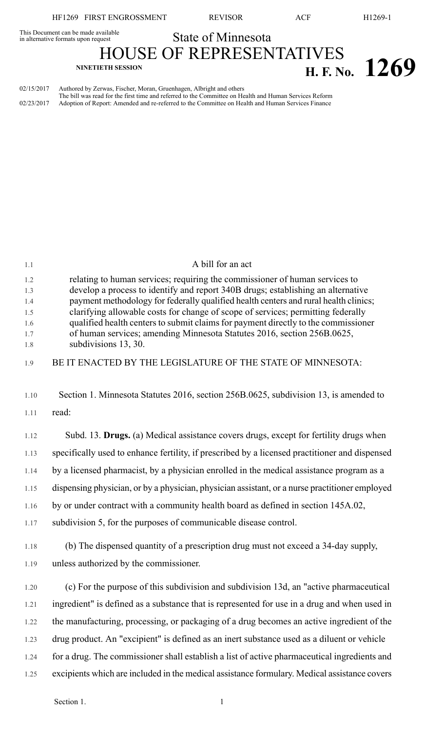HF1269 FIRST ENGROSSMENT REVISOR ACF H1269-1

## This Document can be made available<br>in alternative formats upon request **State of Minnesota**

HOUSE OF REPRESENTATIVES **H. F.** No. **1269** 

02/15/2017 Authored by Zerwas, Fischer, Moran, Gruenhagen, Albright and others The bill was read for the first time and referred to the Committee on Health and Human Services Reform 02/23/2017 Adoption of Report: Amended and re-referred to the Committee on Health and Human Services Finance

| 1.1               | A bill for an act                                                                                                                                                                                                                                       |
|-------------------|---------------------------------------------------------------------------------------------------------------------------------------------------------------------------------------------------------------------------------------------------------|
| 1.2<br>1.3<br>1.4 | relating to human services; requiring the commissioner of human services to<br>develop a process to identify and report 340B drugs; establishing an alternative<br>payment methodology for federally qualified health centers and rural health clinics; |
| 1.5               | clarifying allowable costs for change of scope of services; permitting federally                                                                                                                                                                        |
| 1.6<br>1.7        | qualified health centers to submit claims for payment directly to the commissioner<br>of human services; amending Minnesota Statutes 2016, section 256B.0625,                                                                                           |
| 1.8               | subdivisions 13, 30.                                                                                                                                                                                                                                    |
| 1.9               | BE IT ENACTED BY THE LEGISLATURE OF THE STATE OF MINNESOTA:                                                                                                                                                                                             |
| 1.10              | Section 1. Minnesota Statutes 2016, section 256B.0625, subdivision 13, is amended to                                                                                                                                                                    |
| 1.11              | read:                                                                                                                                                                                                                                                   |
| 1.12              | Subd. 13. Drugs. (a) Medical assistance covers drugs, except for fertility drugs when                                                                                                                                                                   |
| 1.13              | specifically used to enhance fertility, if prescribed by a licensed practitioner and dispensed                                                                                                                                                          |
| 1.14              | by a licensed pharmacist, by a physician enrolled in the medical assistance program as a                                                                                                                                                                |
| 1.15              | dispensing physician, or by a physician, physician assistant, or a nurse practitioner employed                                                                                                                                                          |
| 1.16              | by or under contract with a community health board as defined in section 145A.02,                                                                                                                                                                       |
| 1.17              | subdivision 5, for the purposes of communicable disease control.                                                                                                                                                                                        |
| 1.18              | (b) The dispensed quantity of a prescription drug must not exceed a 34-day supply,                                                                                                                                                                      |
| 1.19              | unless authorized by the commissioner.                                                                                                                                                                                                                  |
| 1.20              | (c) For the purpose of this subdivision and subdivision 13d, an "active pharmaceutical                                                                                                                                                                  |
| 1.21              | ingredient" is defined as a substance that is represented for use in a drug and when used in                                                                                                                                                            |
| 1.22              | the manufacturing, processing, or packaging of a drug becomes an active ingredient of the                                                                                                                                                               |
| 1.23              | drug product. An "excipient" is defined as an inert substance used as a diluent or vehicle                                                                                                                                                              |
| 1.24              | for a drug. The commissioner shall establish a list of active pharmaceutical ingredients and                                                                                                                                                            |
| 1.25              | excipients which are included in the medical assistance formulary. Medical assistance covers                                                                                                                                                            |
|                   |                                                                                                                                                                                                                                                         |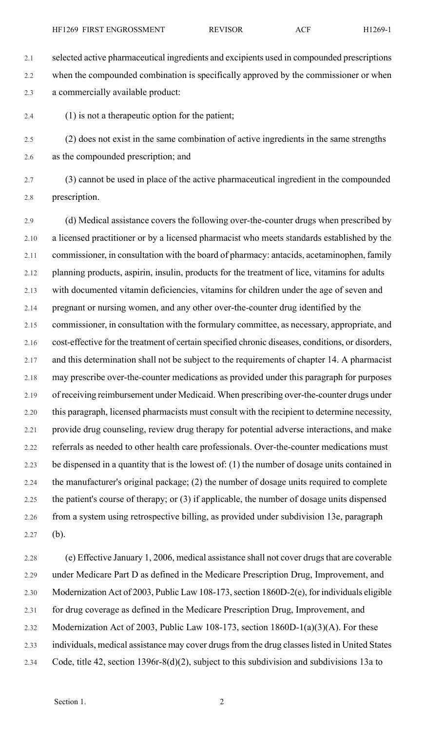2.1 selected active pharmaceutical ingredients and excipients used in compounded prescriptions 2.2 when the compounded combination is specifically approved by the commissioner or when 2.3 a commercially available product:

2.4 (1) is not a therapeutic option for the patient;

2.5 (2) does not exist in the same combination of active ingredients in the same strengths 2.6 as the compounded prescription; and

2.7 (3) cannot be used in place of the active pharmaceutical ingredient in the compounded 2.8 prescription.

2.9 (d) Medical assistance covers the following over-the-counter drugs when prescribed by 2.10 a licensed practitioner or by a licensed pharmacist who meets standards established by the 2.11 commissioner, in consultation with the board of pharmacy: antacids, acetaminophen, family 2.12 planning products, aspirin, insulin, products for the treatment of lice, vitamins for adults 2.13 with documented vitamin deficiencies, vitamins for children under the age of seven and 2.14 pregnant or nursing women, and any other over-the-counter drug identified by the 2.15 commissioner, in consultation with the formulary committee, as necessary, appropriate, and 2.16 cost-effective for the treatment of certain specified chronic diseases, conditions, or disorders, 2.17 and this determination shall not be subject to the requirements of chapter 14. A pharmacist 2.18 may prescribe over-the-counter medications as provided under this paragraph for purposes 2.19 of receiving reimbursement under Medicaid. When prescribing over-the-counter drugs under 2.20 this paragraph, licensed pharmacists must consult with the recipient to determine necessity, 2.21 provide drug counseling, review drug therapy for potential adverse interactions, and make 2.22 referrals as needed to other health care professionals. Over-the-counter medications must 2.23 be dispensed in a quantity that is the lowest of: (1) the number of dosage units contained in 2.24 the manufacturer's original package; (2) the number of dosage units required to complete 2.25 the patient's course of therapy; or (3) if applicable, the number of dosage units dispensed 2.26 from a system using retrospective billing, as provided under subdivision 13e, paragraph 2.27 (b).

2.28 (e) Effective January 1, 2006, medical assistance shall not cover drugs that are coverable 2.29 under Medicare Part D as defined in the Medicare Prescription Drug, Improvement, and 2.30 Modernization Act of 2003, Public Law 108-173, section 1860D-2(e), for individuals eligible 2.31 for drug coverage as defined in the Medicare Prescription Drug, Improvement, and 2.32 Modernization Act of 2003, Public Law 108-173, section 1860D-1(a)(3)(A). For these 2.33 individuals, medical assistance may cover drugsfrom the drug classeslisted in United States 2.34 Code, title 42, section 1396r-8(d)(2), subject to this subdivision and subdivisions 13a to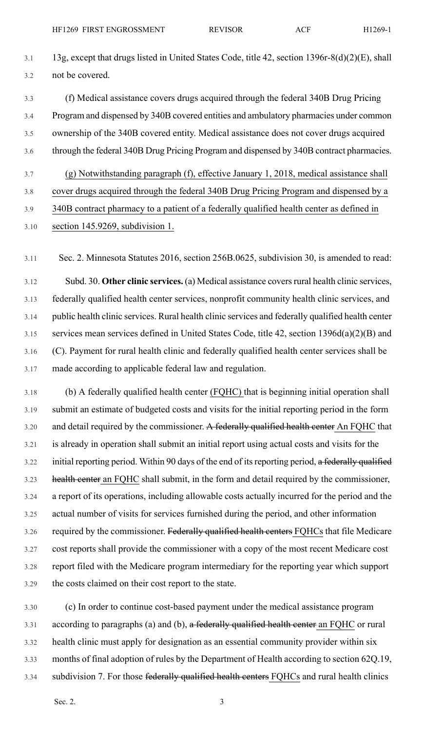- 3.1 13g, except that drugs listed in United States Code, title 42, section 1396r-8(d)(2)(E), shall 3.2 not be covered.
- 3.3 (f) Medical assistance covers drugs acquired through the federal 340B Drug Pricing 3.4 Program and dispensed by 340B covered entities and ambulatory pharmacies under common 3.5 ownership of the 340B covered entity. Medical assistance does not cover drugs acquired 3.6 through the federal 340B Drug Pricing Program and dispensed by 340B contract pharmacies.
- 3.7 (g) Notwithstanding paragraph (f), effective January 1, 2018, medical assistance shall
- 3.8 cover drugs acquired through the federal 340B Drug Pricing Program and dispensed by a
- 3.9 340B contract pharmacy to a patient of a federally qualified health center as defined in 3.10 section 145.9269, subdivision 1.

3.11 Sec. 2. Minnesota Statutes 2016, section 256B.0625, subdivision 30, is amended to read:

3.12 Subd. 30. **Other clinic services.** (a) Medical assistance coversrural health clinic services, 3.13 federally qualified health center services, nonprofit community health clinic services, and 3.14 public health clinic services. Rural health clinic services and federally qualified health center 3.15 services mean services defined in United States Code, title 42, section 1396d(a)(2)(B) and 3.16 (C). Payment for rural health clinic and federally qualified health center services shall be 3.17 made according to applicable federal law and regulation.

3.18 (b) A federally qualified health center (FQHC) that is beginning initial operation shall 3.19 submit an estimate of budgeted costs and visits for the initial reporting period in the form 3.20 and detail required by the commissioner. A federally qualified health center An FQHC that 3.21 is already in operation shall submit an initial report using actual costs and visits for the 3.22 initial reporting period. Within 90 days of the end of its reporting period, a federally qualified 3.23 health center an FQHC shall submit, in the form and detail required by the commissioner, 3.24 a report of its operations, including allowable costs actually incurred for the period and the 3.25 actual number of visits for services furnished during the period, and other information 3.26 required by the commissioner. Federally qualified health centers FQHCs that file Medicare 3.27 cost reports shall provide the commissioner with a copy of the most recent Medicare cost 3.28 report filed with the Medicare program intermediary for the reporting year which support 3.29 the costs claimed on their cost report to the state.

3.30 (c) In order to continue cost-based payment under the medical assistance program 3.31 according to paragraphs (a) and (b), a federally qualified health center an FQHC or rural 3.32 health clinic must apply for designation as an essential community provider within six 3.33 months of final adoption of rules by the Department of Health according to section 62Q.19, 3.34 subdivision 7. For those federally qualified health centers FQHCs and rural health clinics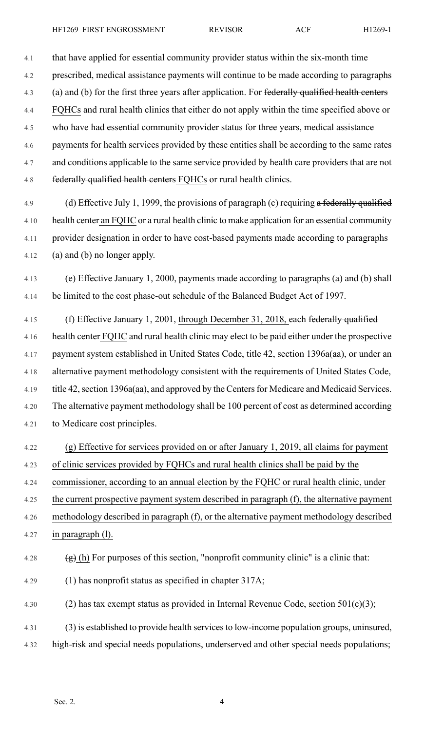4.1 that have applied for essential community provider status within the six-month time

4.2 prescribed, medical assistance payments will continue to be made according to paragraphs

4.3 (a) and (b) for the first three years after application. For federally qualified health centers

4.4 FQHCs and rural health clinics that either do not apply within the time specified above or

4.5 who have had essential community provider status for three years, medical assistance

4.6 payments for health services provided by these entities shall be according to the same rates 4.7 and conditions applicable to the same service provided by health care providers that are not 4.8 federally qualified health centers FQHCs or rural health clinics.

4.9 (d) Effective July 1, 1999, the provisions of paragraph (c) requiring a federally qualified 4.10 health center an FQHC or a rural health clinic to make application for an essential community 4.11 provider designation in order to have cost-based payments made according to paragraphs 4.12 (a) and (b) no longer apply.

4.13 (e) Effective January 1, 2000, payments made according to paragraphs (a) and (b) shall 4.14 be limited to the cost phase-out schedule of the Balanced Budget Act of 1997.

4.15 (f) Effective January 1, 2001, through December 31, 2018, each federally qualified 4.16 health center FQHC and rural health clinic may elect to be paid either under the prospective 4.17 payment system established in United States Code, title 42, section 1396a(aa), or under an 4.18 alternative payment methodology consistent with the requirements of United States Code, 4.19 title 42, section 1396a(aa), and approved by the Centers for Medicare and Medicaid Services. 4.20 The alternative payment methodology shall be 100 percent of cost as determined according 4.21 to Medicare cost principles.

4.22 (g) Effective for services provided on or after January 1, 2019, all claims for payment 4.23 of clinic services provided by FQHCs and rural health clinics shall be paid by the 4.24 commissioner, according to an annual election by the FQHC or rural health clinic, under 4.25 the current prospective payment system described in paragraph (f), the alternative payment

4.26 methodology described in paragraph (f), or the alternative payment methodology described

4.27 in paragraph (l).

4.28 (g) (h) For purposes of this section, "nonprofit community clinic" is a clinic that:

4.29 (1) has nonprofit status as specified in chapter 317A;

4.30 (2) has tax exempt status as provided in Internal Revenue Code, section  $501(c)(3)$ ;

4.31 (3) is established to provide health servicesto low-income population groups, uninsured,

4.32 high-risk and special needs populations, underserved and other special needs populations;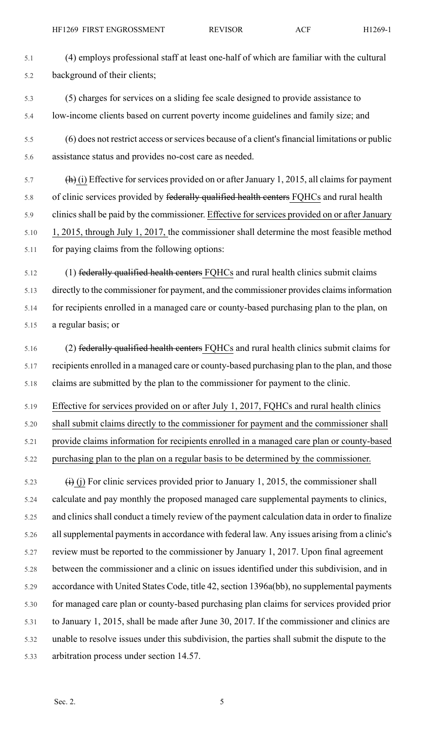HF1269 FIRST ENGROSSMENT REVISOR ACF H1269-1

5.1 (4) employs professional staff at least one-half of which are familiar with the cultural 5.2 background of their clients;

- 5.3 (5) charges for services on a sliding fee scale designed to provide assistance to 5.4 low-income clients based on current poverty income guidelines and family size; and
- 5.5 (6) does not restrict access orservices because of a client'sfinancial limitations or public 5.6 assistance status and provides no-cost care as needed.

 $\frac{f_{\text{th}}}{i}$  (i) Effective for services provided on or after January 1, 2015, all claims for payment 5.8 of clinic services provided by federally qualified health centers FQHCs and rural health 5.9 clinics shall be paid by the commissioner. Effective for services provided on or after January 5.10 1, 2015, through July 1, 2017, the commissioner shall determine the most feasible method 5.11 for paying claims from the following options:

5.12 (1) federally qualified health centers FQHCs and rural health clinics submit claims 5.13 directly to the commissioner for payment, and the commissioner provides claimsinformation 5.14 for recipients enrolled in a managed care or county-based purchasing plan to the plan, on 5.15 a regular basis; or

5.16 (2) federally qualified health centers FQHCs and rural health clinics submit claims for 5.17 recipients enrolled in a managed care or county-based purchasing plan to the plan, and those 5.18 claims are submitted by the plan to the commissioner for payment to the clinic.

5.19 Effective for services provided on or after July 1, 2017, FQHCs and rural health clinics

5.20 shall submit claims directly to the commissioner for payment and the commissioner shall

5.21 provide claims information for recipients enrolled in a managed care plan or county-based

5.22 purchasing plan to the plan on a regular basis to be determined by the commissioner.

5.23  $(i)$  (i) For clinic services provided prior to January 1, 2015, the commissioner shall 5.24 calculate and pay monthly the proposed managed care supplemental payments to clinics, 5.25 and clinics shall conduct a timely review of the payment calculation data in order to finalize 5.26 allsupplemental paymentsin accordance with federal law. Any issues arising from a clinic's 5.27 review must be reported to the commissioner by January 1, 2017. Upon final agreement 5.28 between the commissioner and a clinic on issues identified under this subdivision, and in 5.29 accordance with United States Code, title 42, section 1396a(bb), no supplemental payments 5.30 for managed care plan or county-based purchasing plan claims for services provided prior 5.31 to January 1, 2015, shall be made after June 30, 2017. If the commissioner and clinics are 5.32 unable to resolve issues under this subdivision, the parties shall submit the dispute to the 5.33 arbitration process under section 14.57.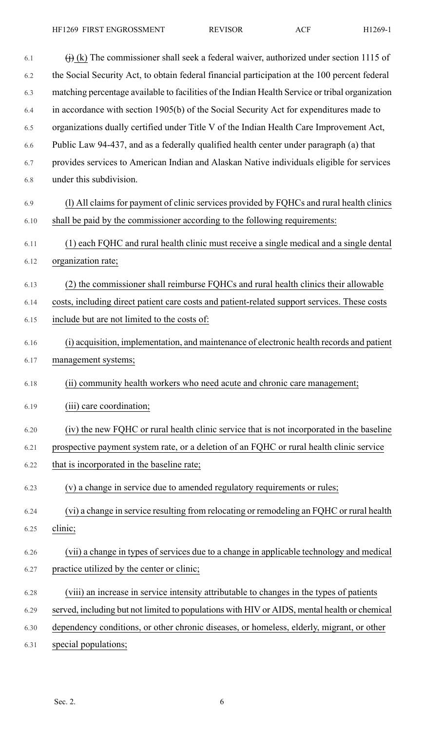| 6.1  | $\overrightarrow{()}$ (k) The commissioner shall seek a federal waiver, authorized under section 1115 of |
|------|----------------------------------------------------------------------------------------------------------|
| 6.2  | the Social Security Act, to obtain federal financial participation at the 100 percent federal            |
| 6.3  | matching percentage available to facilities of the Indian Health Service or tribal organization          |
| 6.4  | in accordance with section 1905(b) of the Social Security Act for expenditures made to                   |
| 6.5  | organizations dually certified under Title V of the Indian Health Care Improvement Act,                  |
| 6.6  | Public Law 94-437, and as a federally qualified health center under paragraph (a) that                   |
| 6.7  | provides services to American Indian and Alaskan Native individuals eligible for services                |
| 6.8  | under this subdivision.                                                                                  |
| 6.9  | (1) All claims for payment of clinic services provided by FQHCs and rural health clinics                 |
| 6.10 | shall be paid by the commissioner according to the following requirements:                               |
| 6.11 | (1) each FQHC and rural health clinic must receive a single medical and a single dental                  |
| 6.12 | organization rate;                                                                                       |
| 6.13 | (2) the commissioner shall reimburse FQHCs and rural health clinics their allowable                      |
| 6.14 | costs, including direct patient care costs and patient-related support services. These costs             |
| 6.15 | include but are not limited to the costs of:                                                             |
| 6.16 | (i) acquisition, implementation, and maintenance of electronic health records and patient                |
| 6.17 | management systems;                                                                                      |
| 6.18 | (ii) community health workers who need acute and chronic care management;                                |
| 6.19 | (iii) care coordination;                                                                                 |
| 6.20 | (iv) the new FQHC or rural health clinic service that is not incorporated in the baseline                |
| 6.21 | prospective payment system rate, or a deletion of an FQHC or rural health clinic service                 |
| 6.22 | that is incorporated in the baseline rate;                                                               |
| 6.23 | (v) a change in service due to amended regulatory requirements or rules;                                 |
| 6.24 | (vi) a change in service resulting from relocating or remodeling an FQHC or rural health                 |
| 6.25 | clinic;                                                                                                  |
| 6.26 | (vii) a change in types of services due to a change in applicable technology and medical                 |
| 6.27 | practice utilized by the center or clinic;                                                               |
| 6.28 | (viii) an increase in service intensity attributable to changes in the types of patients                 |
| 6.29 | served, including but not limited to populations with HIV or AIDS, mental health or chemical             |
| 6.30 | dependency conditions, or other chronic diseases, or homeless, elderly, migrant, or other                |
| 6.31 | special populations;                                                                                     |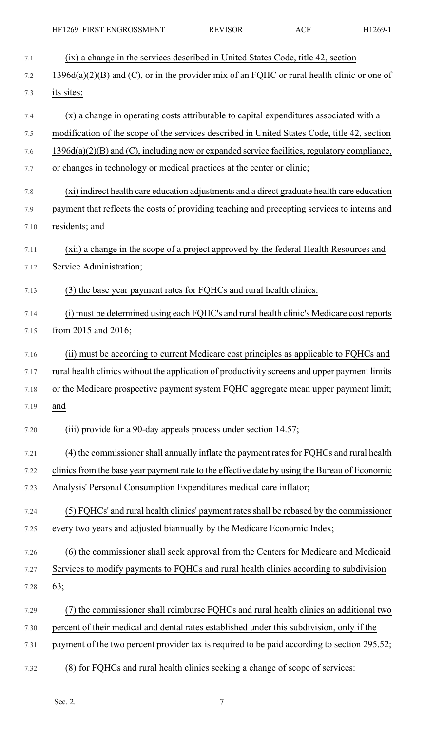|      | HF1269 FIRST ENGROSSMENT                                                                      | <b>REVISOR</b> | <b>ACF</b> | H1269-1 |
|------|-----------------------------------------------------------------------------------------------|----------------|------------|---------|
| 7.1  | (ix) a change in the services described in United States Code, title 42, section              |                |            |         |
| 7.2  | $1396d(a)(2)(B)$ and (C), or in the provider mix of an FQHC or rural health clinic or one of  |                |            |         |
| 7.3  | its sites;                                                                                    |                |            |         |
| 7.4  | (x) a change in operating costs attributable to capital expenditures associated with a        |                |            |         |
| 7.5  | modification of the scope of the services described in United States Code, title 42, section  |                |            |         |
| 7.6  | 1396d(a)(2)(B) and (C), including new or expanded service facilities, regulatory compliance,  |                |            |         |
| 7.7  | or changes in technology or medical practices at the center or clinic;                        |                |            |         |
| 7.8  | (xi) indirect health care education adjustments and a direct graduate health care education   |                |            |         |
| 7.9  | payment that reflects the costs of providing teaching and precepting services to interns and  |                |            |         |
| 7.10 | residents; and                                                                                |                |            |         |
| 7.11 | (xii) a change in the scope of a project approved by the federal Health Resources and         |                |            |         |
| 7.12 | Service Administration;                                                                       |                |            |         |
| 7.13 | (3) the base year payment rates for FQHCs and rural health clinics:                           |                |            |         |
| 7.14 | (i) must be determined using each FQHC's and rural health clinic's Medicare cost reports      |                |            |         |
| 7.15 | from 2015 and 2016;                                                                           |                |            |         |
| 7.16 | (ii) must be according to current Medicare cost principles as applicable to FQHCs and         |                |            |         |
| 7.17 | rural health clinics without the application of productivity screens and upper payment limits |                |            |         |
| 7.18 | or the Medicare prospective payment system FQHC aggregate mean upper payment limit;           |                |            |         |
| 7.19 | and                                                                                           |                |            |         |
| 7.20 | (iii) provide for a 90-day appeals process under section 14.57;                               |                |            |         |
| 7.21 | (4) the commissioner shall annually inflate the payment rates for FQHCs and rural health      |                |            |         |
| 7.22 | clinics from the base year payment rate to the effective date by using the Bureau of Economic |                |            |         |
| 7.23 | Analysis' Personal Consumption Expenditures medical care inflator;                            |                |            |         |
| 7.24 | (5) FQHCs' and rural health clinics' payment rates shall be rebased by the commissioner       |                |            |         |
| 7.25 | every two years and adjusted biannually by the Medicare Economic Index;                       |                |            |         |
| 7.26 | (6) the commissioner shall seek approval from the Centers for Medicare and Medicaid           |                |            |         |
| 7.27 | Services to modify payments to FQHCs and rural health clinics according to subdivision        |                |            |         |
| 7.28 | 63;                                                                                           |                |            |         |
| 7.29 | (7) the commissioner shall reimburse FQHCs and rural health clinics an additional two         |                |            |         |
| 7.30 | percent of their medical and dental rates established under this subdivision, only if the     |                |            |         |
| 7.31 | payment of the two percent provider tax is required to be paid according to section 295.52;   |                |            |         |
| 7.32 | (8) for FQHCs and rural health clinics seeking a change of scope of services:                 |                |            |         |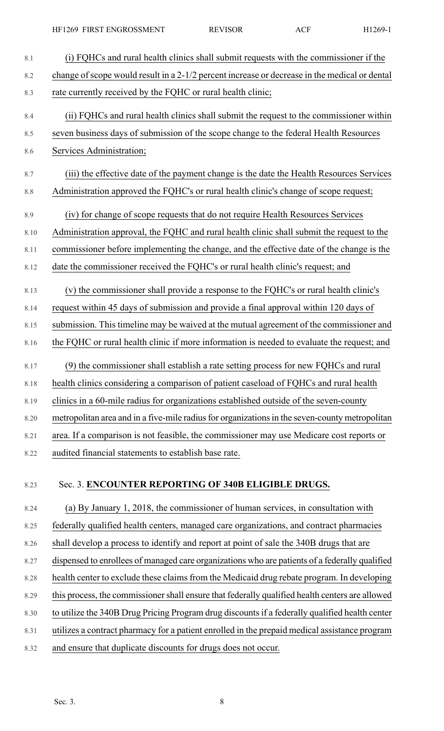| 8.1     | (i) FQHCs and rural health clinics shall submit requests with the commissioner if the          |
|---------|------------------------------------------------------------------------------------------------|
| 8.2     | change of scope would result in a 2-1/2 percent increase or decrease in the medical or dental  |
| 8.3     | rate currently received by the FQHC or rural health clinic;                                    |
| 8.4     | (ii) FQHCs and rural health clinics shall submit the request to the commissioner within        |
| 8.5     | seven business days of submission of the scope change to the federal Health Resources          |
| 8.6     | Services Administration;                                                                       |
| 8.7     | (iii) the effective date of the payment change is the date the Health Resources Services       |
| $8.8\,$ | Administration approved the FQHC's or rural health clinic's change of scope request;           |
| 8.9     | (iv) for change of scope requests that do not require Health Resources Services                |
| 8.10    | Administration approval, the FQHC and rural health clinic shall submit the request to the      |
| 8.11    | commissioner before implementing the change, and the effective date of the change is the       |
| 8.12    | date the commissioner received the FQHC's or rural health clinic's request; and                |
| 8.13    | (v) the commissioner shall provide a response to the FQHC's or rural health clinic's           |
| 8.14    | request within 45 days of submission and provide a final approval within 120 days of           |
| 8.15    | submission. This timeline may be waived at the mutual agreement of the commissioner and        |
| 8.16    | the FQHC or rural health clinic if more information is needed to evaluate the request; and     |
| 8.17    | (9) the commissioner shall establish a rate setting process for new FQHCs and rural            |
| 8.18    | health clinics considering a comparison of patient caseload of FQHCs and rural health          |
| 8.19    | clinics in a 60-mile radius for organizations established outside of the seven-county          |
| 8.20    | metropolitan area and in a five-mile radius for organizations in the seven-county metropolitan |
| 8.21    | area. If a comparison is not feasible, the commissioner may use Medicare cost reports or       |
| 8.22    | audited financial statements to establish base rate.                                           |
|         |                                                                                                |
| 8.23    | Sec. 3. ENCOUNTER REPORTING OF 340B ELIGIBLE DRUGS.                                            |

8.24 (a) By January 1, 2018, the commissioner of human services, in consultation with 8.25 federally qualified health centers, managed care organizations, and contract pharmacies 8.26 shall develop a process to identify and report at point of sale the 340B drugs that are 8.27 dispensed to enrollees of managed care organizations who are patients of a federally qualified 8.28 health center to exclude these claims from the Medicaid drug rebate program. In developing 8.29 this process, the commissioner shall ensure that federally qualified health centers are allowed 8.30 to utilize the 340B Drug Pricing Program drug discounts if a federally qualified health center 8.31 utilizes a contract pharmacy for a patient enrolled in the prepaid medical assistance program 8.32 and ensure that duplicate discounts for drugs does not occur.